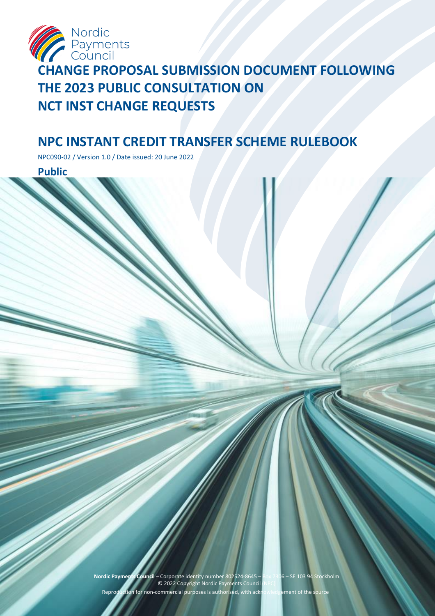

# **CHANGE PROPOSAL SUBMISSION DOCUMENT FOLLOWING THE 2023 PUBLIC CONSULTATION ON NCT INST CHANGE REQUESTS**

# **NPC INSTANT CREDIT TRANSFER SCHEME RULEBOOK**

NPC090-02 / Version 1.0 / Date issued: 20 June 2022

**Public**

**Nordic Payments Council** – Corporate identity number 802524-8645 – Box 7306 – SE 103 94 Stockholm © 2022 Copyright Nordic Payments Council (NPC) Reproduction for non-commercial purposes is authorised, with acknowledgement of the source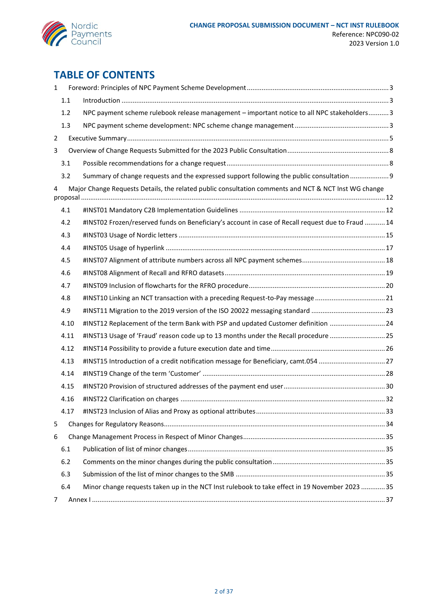

# **TABLE OF CONTENTS**

| $\mathbf{1}$   |      |                                                                                                                                                                                                                                                                                                                                                                                                                                                                 |  |  |
|----------------|------|-----------------------------------------------------------------------------------------------------------------------------------------------------------------------------------------------------------------------------------------------------------------------------------------------------------------------------------------------------------------------------------------------------------------------------------------------------------------|--|--|
|                | 1.1  | $\label{eq:1} \mbox{Introduction} \,\, \ldots \,\, \ldots \,\, \ldots \,\, \ldots \,\, \ldots \,\, \ldots \,\, \ldots \,\, \ldots \,\, \ldots \,\, \ldots \,\, \ldots \,\, \ldots \,\, \ldots \,\, \ldots \,\, \ldots \,\, \ldots \,\, \ldots \,\, \ldots \,\, \ldots \,\, \ldots \,\, \ldots \,\, \ldots \,\, \ldots \,\, \ldots \,\, \ldots \,\, \ldots \,\, \ldots \,\, \ldots \,\, \ldots \,\, \ldots \,\, \ldots \,\, \ldots \,\, \ldots \,\, \ldots \,\,$ |  |  |
|                | 1.2  | NPC payment scheme rulebook release management - important notice to all NPC stakeholders 3                                                                                                                                                                                                                                                                                                                                                                     |  |  |
|                | 1.3  |                                                                                                                                                                                                                                                                                                                                                                                                                                                                 |  |  |
| $\overline{2}$ |      |                                                                                                                                                                                                                                                                                                                                                                                                                                                                 |  |  |
| 3              |      |                                                                                                                                                                                                                                                                                                                                                                                                                                                                 |  |  |
|                | 3.1  |                                                                                                                                                                                                                                                                                                                                                                                                                                                                 |  |  |
|                | 3.2  | Summary of change requests and the expressed support following the public consultation  9                                                                                                                                                                                                                                                                                                                                                                       |  |  |
| 4              |      | Major Change Requests Details, the related public consultation comments and NCT & NCT Inst WG change                                                                                                                                                                                                                                                                                                                                                            |  |  |
|                |      |                                                                                                                                                                                                                                                                                                                                                                                                                                                                 |  |  |
|                | 4.1  |                                                                                                                                                                                                                                                                                                                                                                                                                                                                 |  |  |
|                | 4.2  | #INST02 Frozen/reserved funds on Beneficiary's account in case of Recall request due to Fraud  14                                                                                                                                                                                                                                                                                                                                                               |  |  |
|                | 4.3  |                                                                                                                                                                                                                                                                                                                                                                                                                                                                 |  |  |
|                | 4.4  |                                                                                                                                                                                                                                                                                                                                                                                                                                                                 |  |  |
|                | 4.5  |                                                                                                                                                                                                                                                                                                                                                                                                                                                                 |  |  |
|                | 4.6  |                                                                                                                                                                                                                                                                                                                                                                                                                                                                 |  |  |
|                | 4.7  |                                                                                                                                                                                                                                                                                                                                                                                                                                                                 |  |  |
|                | 4.8  | #INST10 Linking an NCT transaction with a preceding Request-to-Pay message 21                                                                                                                                                                                                                                                                                                                                                                                   |  |  |
|                | 4.9  |                                                                                                                                                                                                                                                                                                                                                                                                                                                                 |  |  |
|                | 4.10 | #INST12 Replacement of the term Bank with PSP and updated Customer definition  24                                                                                                                                                                                                                                                                                                                                                                               |  |  |
|                | 4.11 | #INST13 Usage of 'Fraud' reason code up to 13 months under the Recall procedure 25                                                                                                                                                                                                                                                                                                                                                                              |  |  |
|                | 4.12 |                                                                                                                                                                                                                                                                                                                                                                                                                                                                 |  |  |
|                | 4.13 | #INST15 Introduction of a credit notification message for Beneficiary, camt.054 27                                                                                                                                                                                                                                                                                                                                                                              |  |  |
|                | 4.14 |                                                                                                                                                                                                                                                                                                                                                                                                                                                                 |  |  |
|                | 4.15 |                                                                                                                                                                                                                                                                                                                                                                                                                                                                 |  |  |
|                | 4.16 |                                                                                                                                                                                                                                                                                                                                                                                                                                                                 |  |  |
|                | 4.17 |                                                                                                                                                                                                                                                                                                                                                                                                                                                                 |  |  |
| 5              |      |                                                                                                                                                                                                                                                                                                                                                                                                                                                                 |  |  |
| 6              |      |                                                                                                                                                                                                                                                                                                                                                                                                                                                                 |  |  |
|                | 6.1  |                                                                                                                                                                                                                                                                                                                                                                                                                                                                 |  |  |
|                | 6.2  |                                                                                                                                                                                                                                                                                                                                                                                                                                                                 |  |  |
|                | 6.3  |                                                                                                                                                                                                                                                                                                                                                                                                                                                                 |  |  |
|                | 6.4  | Minor change requests taken up in the NCT Inst rulebook to take effect in 19 November 2023  35                                                                                                                                                                                                                                                                                                                                                                  |  |  |
| 7              |      |                                                                                                                                                                                                                                                                                                                                                                                                                                                                 |  |  |
|                |      |                                                                                                                                                                                                                                                                                                                                                                                                                                                                 |  |  |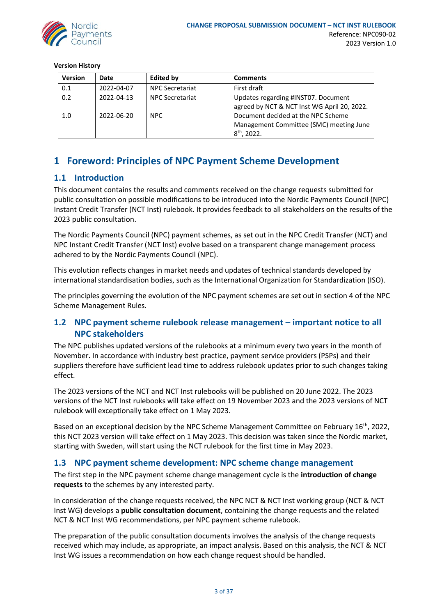

**Version History**

| <b>Version</b>            | Date       | <b>Edited by</b>       | <b>Comments</b>                             |
|---------------------------|------------|------------------------|---------------------------------------------|
| 0.1                       | 2022-04-07 | <b>NPC Secretariat</b> | First draft                                 |
| 0.2                       | 2022-04-13 | <b>NPC Secretariat</b> | Updates regarding #INST07. Document         |
|                           |            |                        | agreed by NCT & NCT Inst WG April 20, 2022. |
| 1.0<br>NPC.<br>2022-06-20 |            |                        | Document decided at the NPC Scheme          |
|                           |            |                        | Management Committee (SMC) meeting June     |
|                           |            |                        | $8th$ , 2022.                               |

## <span id="page-2-0"></span>**1 Foreword: Principles of NPC Payment Scheme Development**

## <span id="page-2-1"></span>**1.1 Introduction**

This document contains the results and comments received on the change requests submitted for public consultation on possible modifications to be introduced into the Nordic Payments Council (NPC) Instant Credit Transfer (NCT Inst) rulebook. It provides feedback to all stakeholders on the results of the 2023 public consultation.

The Nordic Payments Council (NPC) payment schemes, as set out in the NPC Credit Transfer (NCT) and NPC Instant Credit Transfer (NCT Inst) evolve based on a transparent change management process adhered to by the Nordic Payments Council (NPC).

This evolution reflects changes in market needs and updates of technical standards developed by international standardisation bodies, such as the International Organization for Standardization (ISO).

The principles governing the evolution of the NPC payment schemes are set out in section 4 of the NPC Scheme Management Rules.

## <span id="page-2-2"></span>**1.2 NPC payment scheme rulebook release management – important notice to all NPC stakeholders**

The NPC publishes updated versions of the rulebooks at a minimum every two years in the month of November. In accordance with industry best practice, payment service providers (PSPs) and their suppliers therefore have sufficient lead time to address rulebook updates prior to such changes taking effect.

The 2023 versions of the NCT and NCT Inst rulebooks will be published on 20 June 2022. The 2023 versions of the NCT Inst rulebooks will take effect on 19 November 2023 and the 2023 versions of NCT rulebook will exceptionally take effect on 1 May 2023.

Based on an exceptional decision by the NPC Scheme Management Committee on February 16<sup>th</sup>, 2022, this NCT 2023 version will take effect on 1 May 2023. This decision was taken since the Nordic market, starting with Sweden, will start using the NCT rulebook for the first time in May 2023.

## <span id="page-2-3"></span>**1.3 NPC payment scheme development: NPC scheme change management**

The first step in the NPC payment scheme change management cycle is the **introduction of change requests** to the schemes by any interested party.

In consideration of the change requests received, the NPC NCT & NCT Inst working group (NCT & NCT Inst WG) develops a **public consultation document**, containing the change requests and the related NCT & NCT Inst WG recommendations, per NPC payment scheme rulebook.

The preparation of the public consultation documents involves the analysis of the change requests received which may include, as appropriate, an impact analysis. Based on this analysis, the NCT & NCT Inst WG issues a recommendation on how each change request should be handled.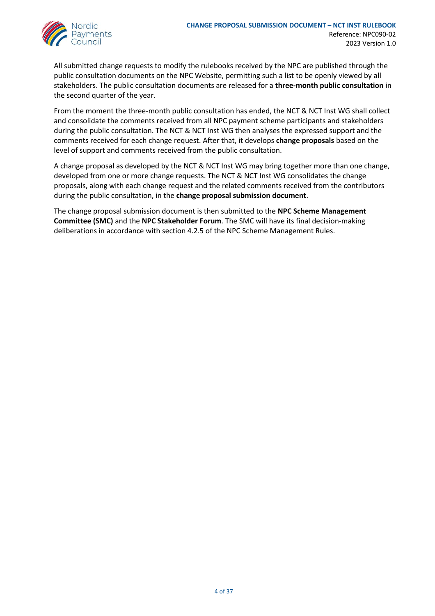

All submitted change requests to modify the rulebooks received by the NPC are published through the public consultation documents on the NPC Website, permitting such a list to be openly viewed by all stakeholders. The public consultation documents are released for a **three-month public consultation** in the second quarter of the year.

From the moment the three-month public consultation has ended, the NCT & NCT Inst WG shall collect and consolidate the comments received from all NPC payment scheme participants and stakeholders during the public consultation. The NCT & NCT Inst WG then analyses the expressed support and the comments received for each change request. After that, it develops **change proposals** based on the level of support and comments received from the public consultation.

A change proposal as developed by the NCT & NCT Inst WG may bring together more than one change, developed from one or more change requests. The NCT & NCT Inst WG consolidates the change proposals, along with each change request and the related comments received from the contributors during the public consultation, in the **change proposal submission document**.

The change proposal submission document is then submitted to the **NPC Scheme Management Committee (SMC)** and the **NPC Stakeholder Forum**. The SMC will have its final decision-making deliberations in accordance with section 4.2.5 of the NPC Scheme Management Rules.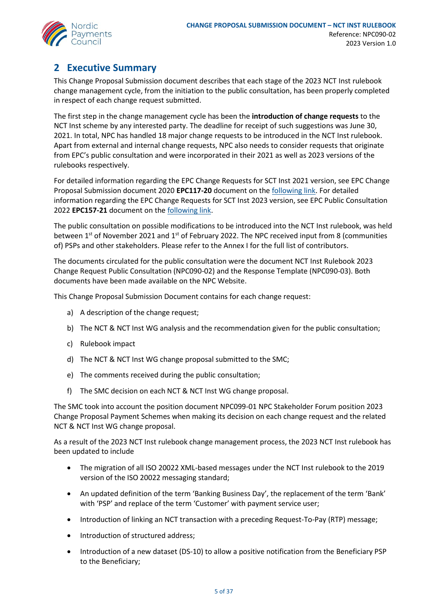

## <span id="page-4-0"></span>**2 Executive Summary**

This Change Proposal Submission document describes that each stage of the 2023 NCT Inst rulebook change management cycle, from the initiation to the public consultation, has been properly completed in respect of each change request submitted.

The first step in the change management cycle has been the **introduction of change requests** to the NCT Inst scheme by any interested party. The deadline for receipt of such suggestions was June 30, 2021. In total, NPC has handled 18 major change requests to be introduced in the NCT Inst rulebook. Apart from external and internal change requests, NPC also needs to consider requests that originate from EPC's public consultation and were incorporated in their 2021 as well as 2023 versions of the rulebooks respectively.

For detailed information regarding the EPC Change Requests for SCT Inst 2021 version, see EPC Change Proposal Submission document 2020 **EPC117-20** document on the [following link.](https://www.europeanpaymentscouncil.eu/sites/default/files/kb/file/2020-11/EPC117-20%20v1.0%20Change%20Proposal%20Submission%20Document%20after%202020%20public%20consultation%20on%20SCT%20Inst%20change%20requests.pdf) For detailed information regarding the EPC Change Requests for SCT Inst 2023 version, see EPC Public Consultation 2022 **EPC157-21** document on the [following link.](https://www.europeanpaymentscouncil.eu/sites/default/files/kb/file/2021-09/EPC157-21%20SCT%20Inst%20Scheme%20Rulebook%20-%20Public%20Consultation%20Document%20on%202022%20Change%20Requests.pdf)

The public consultation on possible modifications to be introduced into the NCT Inst rulebook, was held between  $1^{st}$  of November 2021 and  $1^{st}$  of February 2022. The NPC received input from 8 (communities of) PSPs and other stakeholders. Please refer to the Annex I for the full list of contributors.

The documents circulated for the public consultation were the document NCT Inst Rulebook 2023 Change Request Public Consultation (NPC090-02) and the Response Template (NPC090-03). Both documents have been made available on the NPC Website.

This Change Proposal Submission Document contains for each change request:

- a) A description of the change request;
- b) The NCT & NCT Inst WG analysis and the recommendation given for the public consultation;
- c) Rulebook impact
- d) The NCT & NCT Inst WG change proposal submitted to the SMC;
- e) The comments received during the public consultation;
- f) The SMC decision on each NCT & NCT Inst WG change proposal.

The SMC took into account the position document NPC099-01 NPC Stakeholder Forum position 2023 Change Proposal Payment Schemes when making its decision on each change request and the related NCT & NCT Inst WG change proposal.

As a result of the 2023 NCT Inst rulebook change management process, the 2023 NCT Inst rulebook has been updated to include

- The migration of all ISO 20022 XML-based messages under the NCT Inst rulebook to the 2019 version of the ISO 20022 messaging standard;
- An updated definition of the term 'Banking Business Day', the replacement of the term 'Bank' with 'PSP' and replace of the term 'Customer' with payment service user;
- Introduction of linking an NCT transaction with a preceding Request-To-Pay (RTP) message;
- Introduction of structured address;
- Introduction of a new dataset (DS-10) to allow a positive notification from the Beneficiary PSP to the Beneficiary;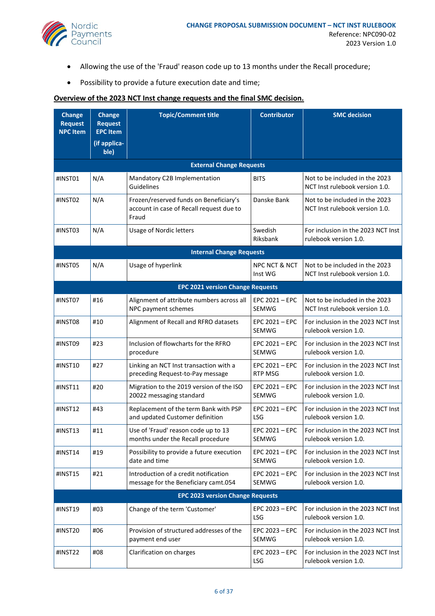

- Allowing the use of the 'Fraud' reason code up to 13 months under the Recall procedure;
- Possibility to provide a future execution date and time;

### **Overview of the 2023 NCT Inst change requests and the final SMC decision.**

| <b>Change</b><br><b>Request</b><br><b>NPC Item</b> | <b>Change</b><br><b>Request</b><br><b>EPC Item</b> | <b>Topic/Comment title</b>                                                                  | <b>Contributor</b>                  | <b>SMC</b> decision                                              |  |  |  |
|----------------------------------------------------|----------------------------------------------------|---------------------------------------------------------------------------------------------|-------------------------------------|------------------------------------------------------------------|--|--|--|
|                                                    | (if applica-<br>ble)                               |                                                                                             |                                     |                                                                  |  |  |  |
|                                                    | <b>External Change Requests</b>                    |                                                                                             |                                     |                                                                  |  |  |  |
| #INST01                                            | N/A                                                | Mandatory C2B Implementation<br>Guidelines                                                  | <b>BITS</b>                         | Not to be included in the 2023<br>NCT Inst rulebook version 1.0. |  |  |  |
| #INST02                                            | N/A                                                | Frozen/reserved funds on Beneficiary's<br>account in case of Recall request due to<br>Fraud | Danske Bank                         | Not to be included in the 2023<br>NCT Inst rulebook version 1.0. |  |  |  |
| #INST03                                            | N/A                                                | <b>Usage of Nordic letters</b>                                                              | Swedish<br>Riksbank                 | For inclusion in the 2023 NCT Inst<br>rulebook version 1.0.      |  |  |  |
|                                                    |                                                    | <b>Internal Change Requests</b>                                                             |                                     |                                                                  |  |  |  |
| #INST05                                            | N/A                                                | Usage of hyperlink                                                                          | <b>NPC NCT &amp; NCT</b><br>Inst WG | Not to be included in the 2023<br>NCT Inst rulebook version 1.0. |  |  |  |
|                                                    |                                                    | <b>EPC 2021 version Change Requests</b>                                                     |                                     |                                                                  |  |  |  |
| #INST07                                            | #16                                                | Alignment of attribute numbers across all<br>NPC payment schemes                            | $EPC 2021 - EPC$<br><b>SEMWG</b>    | Not to be included in the 2023<br>NCT Inst rulebook version 1.0. |  |  |  |
| #INST08                                            | #10                                                | Alignment of Recall and RFRO datasets                                                       | $EPC 2021 - EPC$<br><b>SEMWG</b>    | For inclusion in the 2023 NCT Inst<br>rulebook version 1.0.      |  |  |  |
| #INST09                                            | #23                                                | Inclusion of flowcharts for the RFRO<br>procedure                                           | EPC 2021 - EPC<br><b>SEMWG</b>      | For inclusion in the 2023 NCT Inst<br>rulebook version 1.0.      |  |  |  |
| #INST10                                            | #27                                                | Linking an NCT Inst transaction with a<br>preceding Request-to-Pay message                  | EPC 2021 - EPC<br><b>RTP MSG</b>    | For inclusion in the 2023 NCT Inst<br>rulebook version 1.0.      |  |  |  |
| #INST11                                            | #20                                                | Migration to the 2019 version of the ISO<br>20022 messaging standard                        | EPC 2021 - EPC<br>SEMWG             | For inclusion in the 2023 NCT Inst<br>rulebook version 1.0.      |  |  |  |
| #INST12                                            | #43                                                | Replacement of the term Bank with PSP<br>and updated Customer definition                    | EPC 2021 - EPC<br><b>LSG</b>        | For inclusion in the 2023 NCT Inst<br>rulebook version 1.0.      |  |  |  |
| #INST13                                            | #11                                                | Use of 'Fraud' reason code up to 13<br>months under the Recall procedure                    | EPC 2021 - EPC<br>SEMWG             | For inclusion in the 2023 NCT Inst<br>rulebook version 1.0.      |  |  |  |
| #INST14                                            | #19                                                | Possibility to provide a future execution<br>date and time                                  | EPC 2021 - EPC<br><b>SEMWG</b>      | For inclusion in the 2023 NCT Inst<br>rulebook version 1.0.      |  |  |  |
| #INST15                                            | #21                                                | Introduction of a credit notification<br>message for the Beneficiary camt.054               | EPC 2021 - EPC<br>SEMWG             | For inclusion in the 2023 NCT Inst<br>rulebook version 1.0.      |  |  |  |
|                                                    |                                                    | <b>EPC 2023 version Change Requests</b>                                                     |                                     |                                                                  |  |  |  |
| #INST19                                            | #03                                                | Change of the term 'Customer'                                                               | EPC 2023 - EPC<br>LSG               | For inclusion in the 2023 NCT Inst<br>rulebook version 1.0.      |  |  |  |
| #INST20                                            | #06                                                | Provision of structured addresses of the<br>payment end user                                | EPC 2023 - EPC<br>SEMWG             | For inclusion in the 2023 NCT Inst<br>rulebook version 1.0.      |  |  |  |
| #INST22                                            | #08                                                | Clarification on charges                                                                    | $EPC 2023 - EPC$<br>LSG             | For inclusion in the 2023 NCT Inst<br>rulebook version 1.0.      |  |  |  |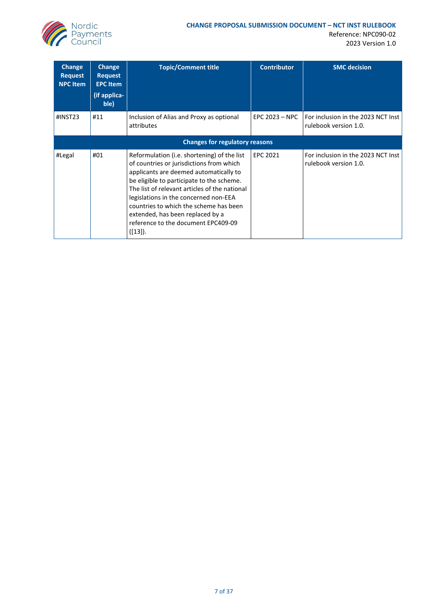

Reference: NPC090-02 2023 Version 1.0

| Change<br><b>Request</b><br><b>NPC Item</b> | Change<br><b>Request</b><br><b>EPC Item</b><br>(if applica-<br>ble) | <b>Topic/Comment title</b>                                                                                                                                                                                                                                                                                                                                                                               | <b>Contributor</b> | <b>SMC</b> decision                                         |
|---------------------------------------------|---------------------------------------------------------------------|----------------------------------------------------------------------------------------------------------------------------------------------------------------------------------------------------------------------------------------------------------------------------------------------------------------------------------------------------------------------------------------------------------|--------------------|-------------------------------------------------------------|
| #INST23                                     | #11                                                                 | Inclusion of Alias and Proxy as optional<br>attributes                                                                                                                                                                                                                                                                                                                                                   | EPC $2023 - NPC$   | For inclusion in the 2023 NCT Inst<br>rulebook version 1.0. |
|                                             |                                                                     | <b>Changes for regulatory reasons</b>                                                                                                                                                                                                                                                                                                                                                                    |                    |                                                             |
| #Legal                                      | #01                                                                 | Reformulation (i.e. shortening) of the list<br>of countries or jurisdictions from which<br>applicants are deemed automatically to<br>be eligible to participate to the scheme.<br>The list of relevant articles of the national<br>legislations in the concerned non-EEA<br>countries to which the scheme has been<br>extended, has been replaced by a<br>reference to the document EPC409-09<br>([13]). | EPC 2021           | For inclusion in the 2023 NCT Inst<br>rulebook version 1.0. |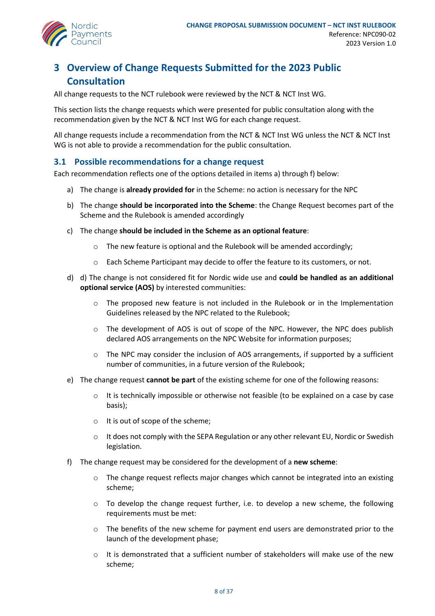

## <span id="page-7-0"></span>**3 Overview of Change Requests Submitted for the 2023 Public Consultation**

All change requests to the NCT rulebook were reviewed by the NCT & NCT Inst WG.

This section lists the change requests which were presented for public consultation along with the recommendation given by the NCT & NCT Inst WG for each change request.

All change requests include a recommendation from the NCT & NCT Inst WG unless the NCT & NCT Inst WG is not able to provide a recommendation for the public consultation.

### <span id="page-7-1"></span>**3.1 Possible recommendations for a change request**

Each recommendation reflects one of the options detailed in items a) through f) below:

- a) The change is **already provided for** in the Scheme: no action is necessary for the NPC
- b) The change **should be incorporated into the Scheme**: the Change Request becomes part of the Scheme and the Rulebook is amended accordingly
- c) The change **should be included in the Scheme as an optional feature**:
	- $\circ$  The new feature is optional and the Rulebook will be amended accordingly;
	- o Each Scheme Participant may decide to offer the feature to its customers, or not.
- d) d) The change is not considered fit for Nordic wide use and **could be handled as an additional optional service (AOS)** by interested communities:
	- $\circ$  The proposed new feature is not included in the Rulebook or in the Implementation Guidelines released by the NPC related to the Rulebook;
	- o The development of AOS is out of scope of the NPC. However, the NPC does publish declared AOS arrangements on the NPC Website for information purposes;
	- $\circ$  The NPC may consider the inclusion of AOS arrangements, if supported by a sufficient number of communities, in a future version of the Rulebook;
- e) The change request **cannot be part** of the existing scheme for one of the following reasons:
	- $\circ$  It is technically impossible or otherwise not feasible (to be explained on a case by case basis);
	- o It is out of scope of the scheme;
	- $\circ$  It does not comply with the SEPA Regulation or any other relevant EU, Nordic or Swedish legislation.
- f) The change request may be considered for the development of a **new scheme**:
	- $\circ$  The change request reflects major changes which cannot be integrated into an existing scheme;
	- $\circ$  To develop the change request further, i.e. to develop a new scheme, the following requirements must be met:
	- $\circ$  The benefits of the new scheme for payment end users are demonstrated prior to the launch of the development phase;
	- $\circ$  It is demonstrated that a sufficient number of stakeholders will make use of the new scheme;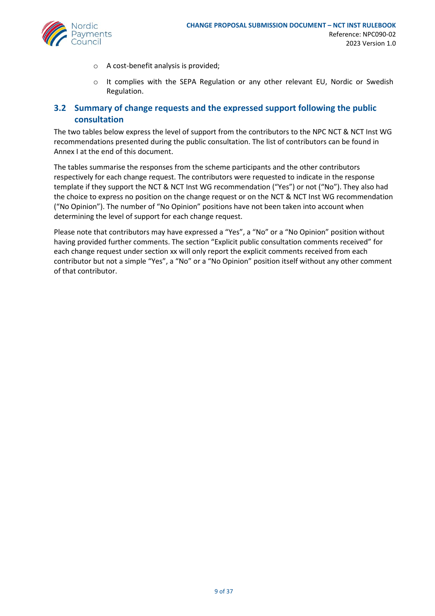- o A cost-benefit analysis is provided;
- o It complies with the SEPA Regulation or any other relevant EU, Nordic or Swedish Regulation.

## <span id="page-8-0"></span>**3.2 Summary of change requests and the expressed support following the public consultation**

The two tables below express the level of support from the contributors to the NPC NCT & NCT Inst WG recommendations presented during the public consultation. The list of contributors can be found in Annex I at the end of this document.

The tables summarise the responses from the scheme participants and the other contributors respectively for each change request. The contributors were requested to indicate in the response template if they support the NCT & NCT Inst WG recommendation ("Yes") or not ("No"). They also had the choice to express no position on the change request or on the NCT & NCT Inst WG recommendation ("No Opinion"). The number of "No Opinion" positions have not been taken into account when determining the level of support for each change request.

Please note that contributors may have expressed a "Yes", a "No" or a "No Opinion" position without having provided further comments. The section "Explicit public consultation comments received" for each change request under section xx will only report the explicit comments received from each contributor but not a simple "Yes", a "No" or a "No Opinion" position itself without any other comment of that contributor.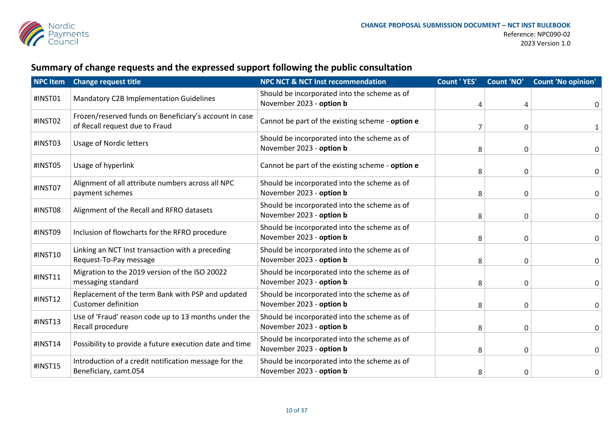

# **Summary of change requests and the expressed support following the public consultation**

| <b>NPC Item</b> | <b>Change request title</b>                                                              | <b>NPC NCT &amp; NCT Inst recommendation</b>                             | <b>Count 'YES'</b> | <b>Count 'NO'</b> | <b>Count 'No opinion'</b> |
|-----------------|------------------------------------------------------------------------------------------|--------------------------------------------------------------------------|--------------------|-------------------|---------------------------|
| #INST01         | Mandatory C2B Implementation Guidelines                                                  | Should be incorporated into the scheme as of<br>November 2023 - option b | 4                  | 4                 | 0                         |
| #INST02         | Frozen/reserved funds on Beneficiary's account in case<br>of Recall request due to Fraud | Cannot be part of the existing scheme - option e                         |                    | 0                 | 1                         |
| #INST03         | <b>Usage of Nordic letters</b>                                                           | Should be incorporated into the scheme as of<br>November 2023 - option b | 8                  | 0                 | 0                         |
| #INST05         | Usage of hyperlink                                                                       | Cannot be part of the existing scheme - option e                         | 8                  | 0                 | $\mathbf 0$               |
| #INST07         | Alignment of all attribute numbers across all NPC<br>payment schemes                     | Should be incorporated into the scheme as of<br>November 2023 - option b | 8                  | 0                 | 0                         |
| #INST08         | Alignment of the Recall and RFRO datasets                                                | Should be incorporated into the scheme as of<br>November 2023 - option b | 8                  | 0                 | 0                         |
| #INST09         | Inclusion of flowcharts for the RFRO procedure                                           | Should be incorporated into the scheme as of<br>November 2023 - option b | 8                  | 0                 | 0                         |
| #INST10         | Linking an NCT Inst transaction with a preceding<br>Request-To-Pay message               | Should be incorporated into the scheme as of<br>November 2023 - option b | 8                  | 0                 | $\mathbf 0$               |
| #INST11         | Migration to the 2019 version of the ISO 20022<br>messaging standard                     | Should be incorporated into the scheme as of<br>November 2023 - option b | 8                  | 0                 | $\mathbf 0$               |
| #INST12         | Replacement of the term Bank with PSP and updated<br><b>Customer definition</b>          | Should be incorporated into the scheme as of<br>November 2023 - option b | 8                  | 0                 | 0                         |
| #INST13         | Use of 'Fraud' reason code up to 13 months under the<br>Recall procedure                 | Should be incorporated into the scheme as of<br>November 2023 - option b | 8                  | 0                 | 0                         |
| #INST14         | Possibility to provide a future execution date and time                                  | Should be incorporated into the scheme as of<br>November 2023 - option b | 8                  | 0                 | 0                         |
| #INST15         | Introduction of a credit notification message for the<br>Beneficiary, camt.054           | Should be incorporated into the scheme as of<br>November 2023 - option b | 8                  | 0                 | 0                         |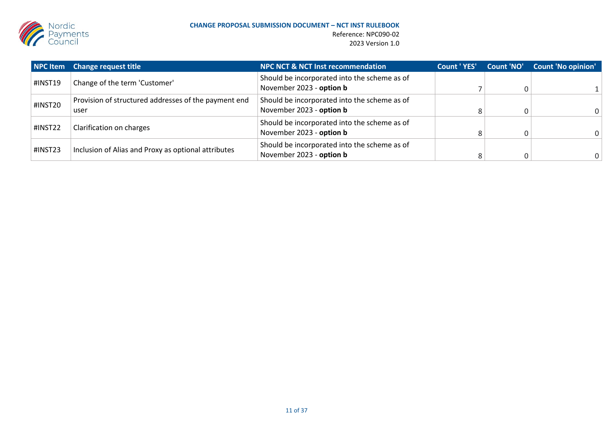

|         | NPC Item Change request title                                | <b>NPC NCT &amp; NCT Inst recommendation</b>                             | Count 'YES' | Count 'NO' | <b>Count 'No opinion'</b> |
|---------|--------------------------------------------------------------|--------------------------------------------------------------------------|-------------|------------|---------------------------|
| #INST19 | Change of the term 'Customer'                                | Should be incorporated into the scheme as of<br>November 2023 - option b |             |            |                           |
| #INST20 | Provision of structured addresses of the payment end<br>user | Should be incorporated into the scheme as of<br>November 2023 - option b |             |            | 0                         |
| #INST22 | Clarification on charges                                     | Should be incorporated into the scheme as of<br>November 2023 - option b |             |            | $\Omega$                  |
| #INST23 | Inclusion of Alias and Proxy as optional attributes          | Should be incorporated into the scheme as of<br>November 2023 - option b |             |            | 0                         |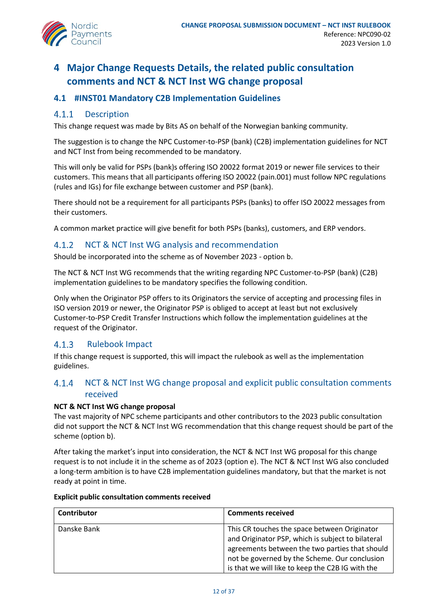

## <span id="page-11-0"></span>**4 Major Change Requests Details, the related public consultation comments and NCT & NCT Inst WG change proposal**

## <span id="page-11-1"></span>**4.1 #INST01 Mandatory C2B Implementation Guidelines**

#### $4.1.1$ **Description**

This change request was made by Bits AS on behalf of the Norwegian banking community.

The suggestion is to change the NPC Customer-to-PSP (bank) (C2B) implementation guidelines for NCT and NCT Inst from being recommended to be mandatory.

This will only be valid for PSPs (bank)s offering ISO 20022 format 2019 or newer file services to their customers. This means that all participants offering ISO 20022 (pain.001) must follow NPC regulations (rules and IGs) for file exchange between customer and PSP (bank).

There should not be a requirement for all participants PSPs (banks) to offer ISO 20022 messages from their customers.

A common market practice will give benefit for both PSPs (banks), customers, and ERP vendors.

#### $4.1.2$ NCT & NCT Inst WG analysis and recommendation

Should be incorporated into the scheme as of November 2023 - option b.

The NCT & NCT Inst WG recommends that the writing regarding NPC Customer-to-PSP (bank) (C2B) implementation guidelines to be mandatory specifies the following condition.

Only when the Originator PSP offers to its Originators the service of accepting and processing files in ISO version 2019 or newer, the Originator PSP is obliged to accept at least but not exclusively Customer-to-PSP Credit Transfer Instructions which follow the implementation guidelines at the request of the Originator.

#### Rulebook Impact  $4.1.3$

If this change request is supported, this will impact the rulebook as well as the implementation guidelines.

#### NCT & NCT Inst WG change proposal and explicit public consultation comments  $4.1.4$ received

### **NCT & NCT Inst WG change proposal**

The vast majority of NPC scheme participants and other contributors to the 2023 public consultation did not support the NCT & NCT Inst WG recommendation that this change request should be part of the scheme (option b).

After taking the market's input into consideration, the NCT & NCT Inst WG proposal for this change request is to not include it in the scheme as of 2023 (option e). The NCT & NCT Inst WG also concluded a long-term ambition is to have C2B implementation guidelines mandatory, but that the market is not ready at point in time.

| Contributor | <b>Comments received</b>                          |
|-------------|---------------------------------------------------|
| Danske Bank | This CR touches the space between Originator      |
|             | and Originator PSP, which is subject to bilateral |
|             | agreements between the two parties that should    |
|             | not be governed by the Scheme. Our conclusion     |
|             | is that we will like to keep the C2B IG with the  |

### **Explicit public consultation comments received**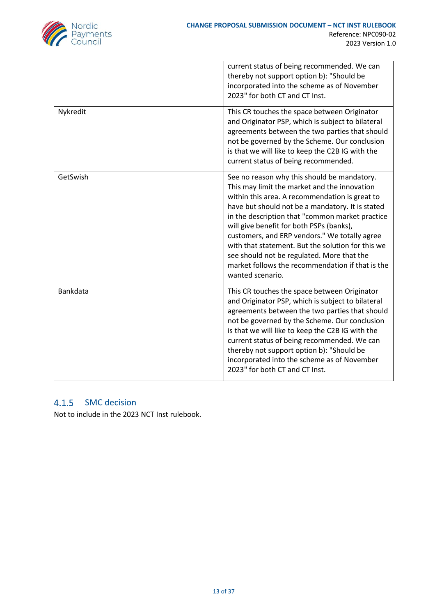

|          | current status of being recommended. We can<br>thereby not support option b): "Should be<br>incorporated into the scheme as of November<br>2023" for both CT and CT Inst.                                                                                                                                                                                                                                                                                                                                                    |
|----------|------------------------------------------------------------------------------------------------------------------------------------------------------------------------------------------------------------------------------------------------------------------------------------------------------------------------------------------------------------------------------------------------------------------------------------------------------------------------------------------------------------------------------|
| Nykredit | This CR touches the space between Originator<br>and Originator PSP, which is subject to bilateral<br>agreements between the two parties that should<br>not be governed by the Scheme. Our conclusion<br>is that we will like to keep the C2B IG with the<br>current status of being recommended.                                                                                                                                                                                                                             |
| GetSwish | See no reason why this should be mandatory.<br>This may limit the market and the innovation<br>within this area. A recommendation is great to<br>have but should not be a mandatory. It is stated<br>in the description that "common market practice<br>will give benefit for both PSPs (banks),<br>customers, and ERP vendors." We totally agree<br>with that statement. But the solution for this we<br>see should not be regulated. More that the<br>market follows the recommendation if that is the<br>wanted scenario. |
| Bankdata | This CR touches the space between Originator<br>and Originator PSP, which is subject to bilateral<br>agreements between the two parties that should<br>not be governed by the Scheme. Our conclusion<br>is that we will like to keep the C2B IG with the<br>current status of being recommended. We can<br>thereby not support option b): "Should be<br>incorporated into the scheme as of November<br>2023" for both CT and CT Inst.                                                                                        |

## 4.1.5 SMC decision

Not to include in the 2023 NCT Inst rulebook.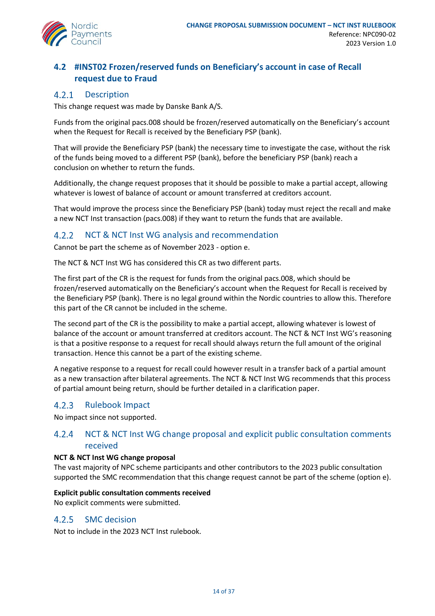

## <span id="page-13-0"></span>**4.2 #INST02 Frozen/reserved funds on Beneficiary's account in case of Recall request due to Fraud**

#### $4.2.1$ Description

This change request was made by Danske Bank A/S.

Funds from the original pacs.008 should be frozen/reserved automatically on the Beneficiary's account when the Request for Recall is received by the Beneficiary PSP (bank).

That will provide the Beneficiary PSP (bank) the necessary time to investigate the case, without the risk of the funds being moved to a different PSP (bank), before the beneficiary PSP (bank) reach a conclusion on whether to return the funds.

Additionally, the change request proposes that it should be possible to make a partial accept, allowing whatever is lowest of balance of account or amount transferred at creditors account.

That would improve the process since the Beneficiary PSP (bank) today must reject the recall and make a new NCT Inst transaction (pacs.008) if they want to return the funds that are available.

#### $4.2.2$ NCT & NCT Inst WG analysis and recommendation

Cannot be part the scheme as of November 2023 - option e.

The NCT & NCT Inst WG has considered this CR as two different parts.

The first part of the CR is the request for funds from the original pacs.008, which should be frozen/reserved automatically on the Beneficiary's account when the Request for Recall is received by the Beneficiary PSP (bank). There is no legal ground within the Nordic countries to allow this. Therefore this part of the CR cannot be included in the scheme.

The second part of the CR is the possibility to make a partial accept, allowing whatever is lowest of balance of the account or amount transferred at creditors account. The NCT & NCT Inst WG's reasoning is that a positive response to a request for recall should always return the full amount of the original transaction. Hence this cannot be a part of the existing scheme.

A negative response to a request for recall could however result in a transfer back of a partial amount as a new transaction after bilateral agreements. The NCT & NCT Inst WG recommends that this process of partial amount being return, should be further detailed in a clarification paper.

#### Rulebook Impact  $4.2.3$

No impact since not supported.

#### $4.2.4$ NCT & NCT Inst WG change proposal and explicit public consultation comments received

### **NCT & NCT Inst WG change proposal**

The vast majority of NPC scheme participants and other contributors to the 2023 public consultation supported the SMC recommendation that this change request cannot be part of the scheme (option e).

### **Explicit public consultation comments received**

No explicit comments were submitted.

#### $4.2.5$ SMC decision

Not to include in the 2023 NCT Inst rulebook.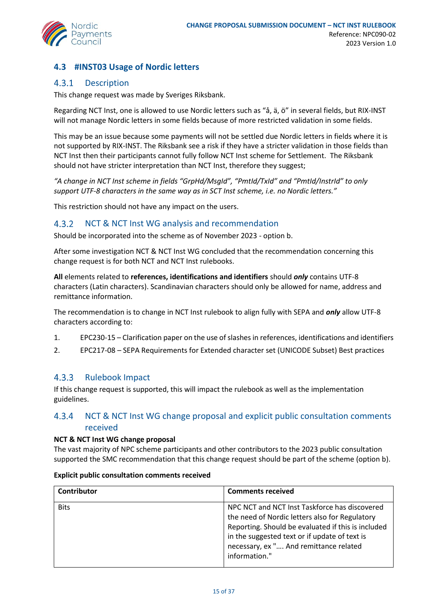## <span id="page-14-0"></span>**4.3 #INST03 Usage of Nordic letters**

#### $4.3.1$ Description

This change request was made by Sveriges Riksbank.

Regarding NCT Inst, one is allowed to use Nordic letters such as "å, ä, ö" in several fields, but RIX-INST will not manage Nordic letters in some fields because of more restricted validation in some fields.

This may be an issue because some payments will not be settled due Nordic letters in fields where it is not supported by RIX-INST. The Riksbank see a risk if they have a stricter validation in those fields than NCT Inst then their participants cannot fully follow NCT Inst scheme for Settlement. The Riksbank should not have stricter interpretation than NCT Inst, therefore they suggest;

*"A change in NCT Inst scheme in fields "GrpHd/MsgId", "PmtId/TxId" and "PmtId/InstrId" to only support UTF-8 characters in the same way as in SCT Inst scheme, i.e. no Nordic letters."* 

This restriction should not have any impact on the users.

#### $4.3.2$ NCT & NCT Inst WG analysis and recommendation

Should be incorporated into the scheme as of November 2023 - option b.

After some investigation NCT & NCT Inst WG concluded that the recommendation concerning this change request is for both NCT and NCT Inst rulebooks.

**All** elements related to **references, identifications and identifiers** should *only* contains UTF-8 characters (Latin characters). Scandinavian characters should only be allowed for name, address and remittance information.

The recommendation is to change in NCT Inst rulebook to align fully with SEPA and *only* allow UTF-8 characters according to:

- 1. EPC230-15 Clarification paper on the use of slashes in references, identifications and identifiers
- 2. EPC217-08 SEPA Requirements for Extended character set (UNICODE Subset) Best practices

#### $4.3.3$ Rulebook Impact

If this change request is supported, this will impact the rulebook as well as the implementation guidelines.

#### NCT & NCT Inst WG change proposal and explicit public consultation comments 4.3.4 received

### **NCT & NCT Inst WG change proposal**

The vast majority of NPC scheme participants and other contributors to the 2023 public consultation supported the SMC recommendation that this change request should be part of the scheme (option b).

| Contributor | <b>Comments received</b>                                                                                                                                                                                                                                          |
|-------------|-------------------------------------------------------------------------------------------------------------------------------------------------------------------------------------------------------------------------------------------------------------------|
| <b>Bits</b> | NPC NCT and NCT Inst Taskforce has discovered<br>the need of Nordic letters also for Regulatory<br>Reporting. Should be evaluated if this is included<br>in the suggested text or if update of text is<br>necessary, ex " And remittance related<br>information." |
|             |                                                                                                                                                                                                                                                                   |

### **Explicit public consultation comments received**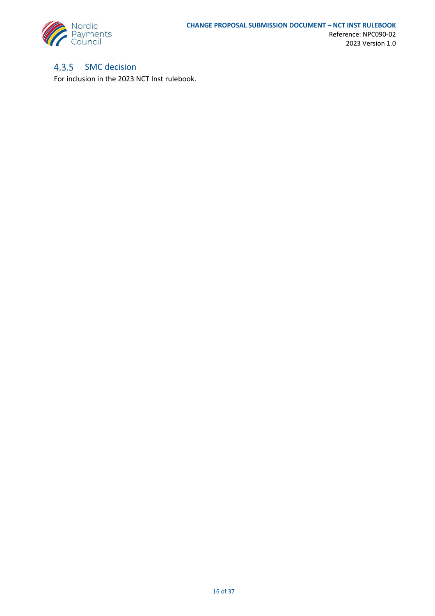

#### $4.3.5$ SMC decision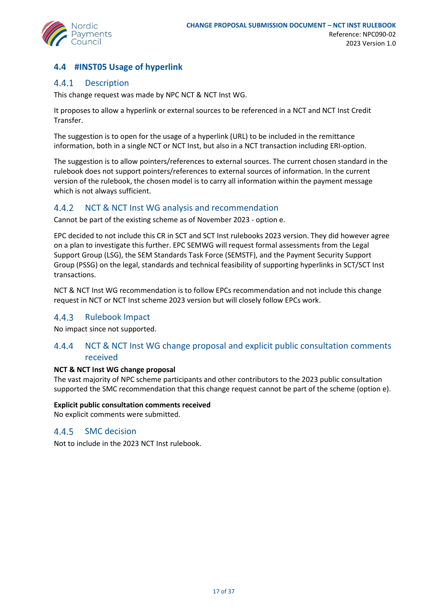

## <span id="page-16-0"></span>**4.4 #INST05 Usage of hyperlink**

#### $4.4.1$ Description

This change request was made by NPC NCT & NCT Inst WG.

It proposes to allow a hyperlink or external sources to be referenced in a NCT and NCT Inst Credit Transfer.

The suggestion is to open for the usage of a hyperlink (URL) to be included in the remittance information, both in a single NCT or NCT Inst, but also in a NCT transaction including ERI-option.

The suggestion is to allow pointers/references to external sources. The current chosen standard in the rulebook does not support pointers/references to external sources of information. In the current version of the rulebook, the chosen model is to carry all information within the payment message which is not always sufficient.

#### $4.4.2$ NCT & NCT Inst WG analysis and recommendation

Cannot be part of the existing scheme as of November 2023 - option e.

EPC decided to not include this CR in SCT and SCT Inst rulebooks 2023 version. They did however agree on a plan to investigate this further. EPC SEMWG will request formal assessments from the Legal Support Group (LSG), the SEM Standards Task Force (SEMSTF), and the Payment Security Support Group (PSSG) on the legal, standards and technical feasibility of supporting hyperlinks in SCT/SCT Inst transactions.

NCT & NCT Inst WG recommendation is to follow EPCs recommendation and not include this change request in NCT or NCT Inst scheme 2023 version but will closely follow EPCs work.

#### $4.4.3$ Rulebook Impact

No impact since not supported.

#### NCT & NCT Inst WG change proposal and explicit public consultation comments 4.4.4 received

### **NCT & NCT Inst WG change proposal**

The vast majority of NPC scheme participants and other contributors to the 2023 public consultation supported the SMC recommendation that this change request cannot be part of the scheme (option e).

### **Explicit public consultation comments received**

No explicit comments were submitted.

#### SMC decision 4.4.5

Not to include in the 2023 NCT Inst rulebook.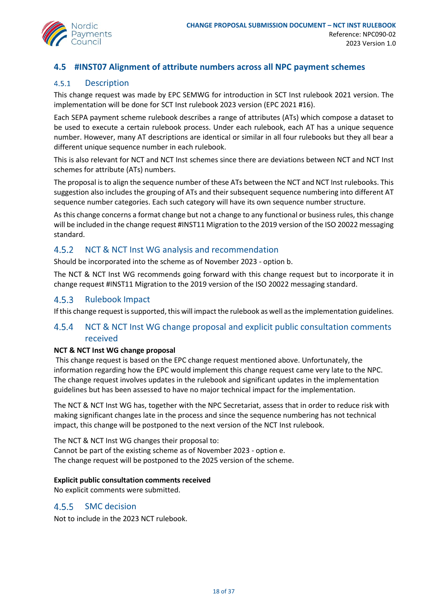

## <span id="page-17-0"></span>**4.5 #INST07 Alignment of attribute numbers across all NPC payment schemes**

#### $4.5.1$ Description

This change request was made by EPC SEMWG for introduction in SCT Inst rulebook 2021 version. The implementation will be done for SCT Inst rulebook 2023 version (EPC 2021 #16).

Each SEPA payment scheme rulebook describes a range of attributes (ATs) which compose a dataset to be used to execute a certain rulebook process. Under each rulebook, each AT has a unique sequence number. However, many AT descriptions are identical or similar in all four rulebooks but they all bear a different unique sequence number in each rulebook.

This is also relevant for NCT and NCT Inst schemes since there are deviations between NCT and NCT Inst schemes for attribute (ATs) numbers.

The proposal is to align the sequence number of these ATs between the NCT and NCT Inst rulebooks. This suggestion also includes the grouping of ATs and their subsequent sequence numbering into different AT sequence number categories. Each such category will have its own sequence number structure.

As this change concerns a format change but not a change to any functional or business rules, this change will be included in the change request #INST11 Migration to the 2019 version of the ISO 20022 messaging standard.

#### $4.5.2$ NCT & NCT Inst WG analysis and recommendation

Should be incorporated into the scheme as of November 2023 - option b.

The NCT & NCT Inst WG recommends going forward with this change request but to incorporate it in change request #INST11 Migration to the 2019 version of the ISO 20022 messaging standard.

#### $4.5.3$ Rulebook Impact

If this change request is supported, this will impact the rulebook as well as the implementation guidelines.

#### $4.5.4$ NCT & NCT Inst WG change proposal and explicit public consultation comments received

### **NCT & NCT Inst WG change proposal**

This change request is based on the EPC change request mentioned above. Unfortunately, the information regarding how the EPC would implement this change request came very late to the NPC. The change request involves updates in the rulebook and significant updates in the implementation guidelines but has been assessed to have no major technical impact for the implementation.

The NCT & NCT Inst WG has, together with the NPC Secretariat, assess that in order to reduce risk with making significant changes late in the process and since the sequence numbering has not technical impact, this change will be postponed to the next version of the NCT Inst rulebook.

The NCT & NCT Inst WG changes their proposal to: Cannot be part of the existing scheme as of November 2023 - option e. The change request will be postponed to the 2025 version of the scheme.

### **Explicit public consultation comments received**

No explicit comments were submitted.

#### SMC decision  $4.5.5$

Not to include in the 2023 NCT rulebook.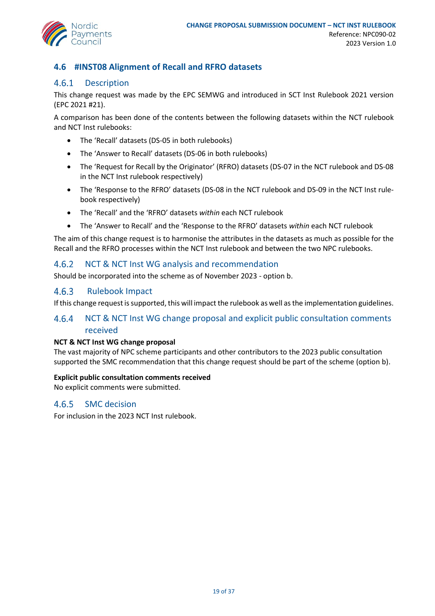

## <span id="page-18-0"></span>**4.6 #INST08 Alignment of Recall and RFRO datasets**

#### $4.6.1$ Description

This change request was made by the EPC SEMWG and introduced in SCT Inst Rulebook 2021 version (EPC 2021 #21).

A comparison has been done of the contents between the following datasets within the NCT rulebook and NCT Inst rulebooks:

- The 'Recall' datasets (DS-05 in both rulebooks)
- The 'Answer to Recall' datasets (DS-06 in both rulebooks)
- The 'Request for Recall by the Originator' (RFRO) datasets (DS-07 in the NCT rulebook and DS-08 in the NCT Inst rulebook respectively)
- The 'Response to the RFRO' datasets (DS-08 in the NCT rulebook and DS-09 in the NCT Inst rulebook respectively)
- The 'Recall' and the 'RFRO' datasets *within* each NCT rulebook
- The 'Answer to Recall' and the 'Response to the RFRO' datasets *within* each NCT rulebook

The aim of this change request is to harmonise the attributes in the datasets as much as possible for the Recall and the RFRO processes within the NCT Inst rulebook and between the two NPC rulebooks.

#### 4.6.2 NCT & NCT Inst WG analysis and recommendation

Should be incorporated into the scheme as of November 2023 - option b.

#### 4.6.3 Rulebook Impact

If this change request is supported, this will impact the rulebook as well as the implementation guidelines.

#### $4.6.4$ NCT & NCT Inst WG change proposal and explicit public consultation comments received

### **NCT & NCT Inst WG change proposal**

The vast majority of NPC scheme participants and other contributors to the 2023 public consultation supported the SMC recommendation that this change request should be part of the scheme (option b).

### **Explicit public consultation comments received**

No explicit comments were submitted.

#### $4.6.5$ SMC decision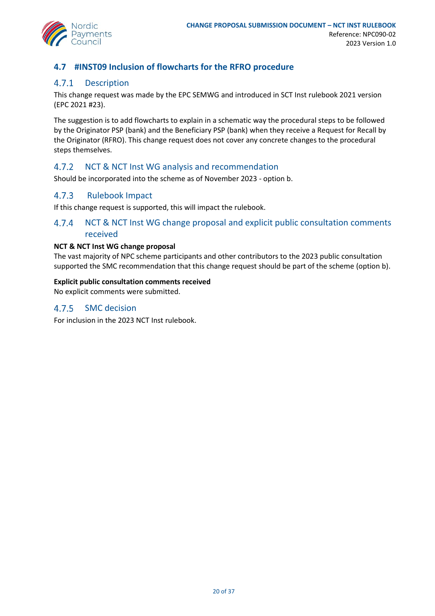

## <span id="page-19-0"></span>**4.7 #INST09 Inclusion of flowcharts for the RFRO procedure**

#### $4.7.1$ Description

This change request was made by the EPC SEMWG and introduced in SCT Inst rulebook 2021 version (EPC 2021 #23).

The suggestion is to add flowcharts to explain in a schematic way the procedural steps to be followed by the Originator PSP (bank) and the Beneficiary PSP (bank) when they receive a Request for Recall by the Originator (RFRO). This change request does not cover any concrete changes to the procedural steps themselves.

#### $4.7.2$ NCT & NCT Inst WG analysis and recommendation

Should be incorporated into the scheme as of November 2023 - option b.

#### $4.7.3$ Rulebook Impact

If this change request is supported, this will impact the rulebook.

#### $4.7.4$ NCT & NCT Inst WG change proposal and explicit public consultation comments received

### **NCT & NCT Inst WG change proposal**

The vast majority of NPC scheme participants and other contributors to the 2023 public consultation supported the SMC recommendation that this change request should be part of the scheme (option b).

### **Explicit public consultation comments received**

No explicit comments were submitted.

#### $4.7.5$ SMC decision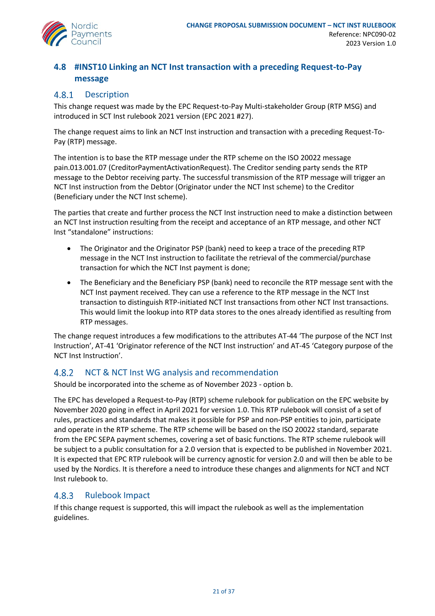

## <span id="page-20-0"></span>**4.8 #INST10 Linking an NCT Inst transaction with a preceding Request-to-Pay message**

#### 4.8.1 Description

This change request was made by the EPC Request-to-Pay Multi-stakeholder Group (RTP MSG) and introduced in SCT Inst rulebook 2021 version (EPC 2021 #27).

The change request aims to link an NCT Inst instruction and transaction with a preceding Request-To-Pay (RTP) message.

The intention is to base the RTP message under the RTP scheme on the ISO 20022 message pain.013.001.07 (CreditorPaymentActivationRequest). The Creditor sending party sends the RTP message to the Debtor receiving party. The successful transmission of the RTP message will trigger an NCT Inst instruction from the Debtor (Originator under the NCT Inst scheme) to the Creditor (Beneficiary under the NCT Inst scheme).

The parties that create and further process the NCT Inst instruction need to make a distinction between an NCT Inst instruction resulting from the receipt and acceptance of an RTP message, and other NCT Inst "standalone" instructions:

- The Originator and the Originator PSP (bank) need to keep a trace of the preceding RTP message in the NCT Inst instruction to facilitate the retrieval of the commercial/purchase transaction for which the NCT Inst payment is done;
- The Beneficiary and the Beneficiary PSP (bank) need to reconcile the RTP message sent with the NCT Inst payment received. They can use a reference to the RTP message in the NCT Inst transaction to distinguish RTP-initiated NCT Inst transactions from other NCT Inst transactions. This would limit the lookup into RTP data stores to the ones already identified as resulting from RTP messages.

The change request introduces a few modifications to the attributes AT-44 'The purpose of the NCT Inst Instruction', AT-41 'Originator reference of the NCT Inst instruction' and AT-45 'Category purpose of the NCT Inst Instruction'.

#### 4.8.2 NCT & NCT Inst WG analysis and recommendation

Should be incorporated into the scheme as of November 2023 - option b.

The EPC has developed a Request-to-Pay (RTP) scheme rulebook for publication on the EPC website by November 2020 going in effect in April 2021 for version 1.0. This RTP rulebook will consist of a set of rules, practices and standards that makes it possible for PSP and non-PSP entities to join, participate and operate in the RTP scheme. The RTP scheme will be based on the ISO 20022 standard, separate from the EPC SEPA payment schemes, covering a set of basic functions. The RTP scheme rulebook will be subject to a public consultation for a 2.0 version that is expected to be published in November 2021. It is expected that EPC RTP rulebook will be currency agnostic for version 2.0 and will then be able to be used by the Nordics. It is therefore a need to introduce these changes and alignments for NCT and NCT Inst rulebook to.

#### Rulebook Impact 4.8.3

If this change request is supported, this will impact the rulebook as well as the implementation guidelines.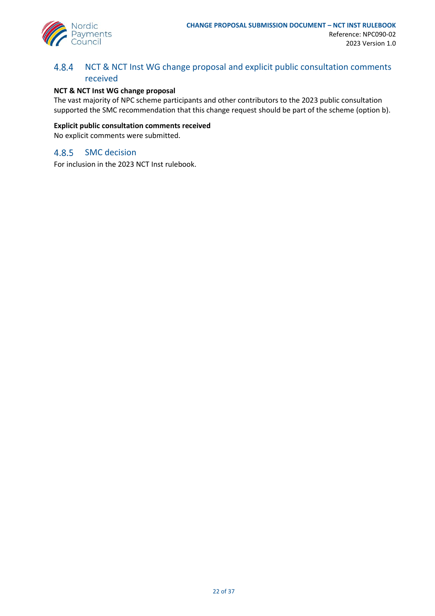

#### 4.8.4 NCT & NCT Inst WG change proposal and explicit public consultation comments received

### **NCT & NCT Inst WG change proposal**

The vast majority of NPC scheme participants and other contributors to the 2023 public consultation supported the SMC recommendation that this change request should be part of the scheme (option b).

### **Explicit public consultation comments received**

No explicit comments were submitted.

#### $4.8.5$ SMC decision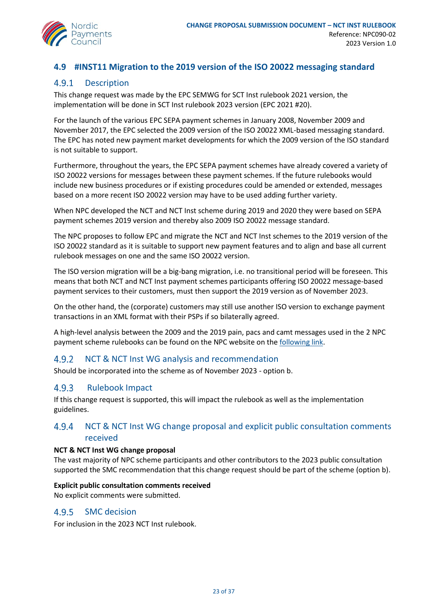

## <span id="page-22-0"></span>**4.9 #INST11 Migration to the 2019 version of the ISO 20022 messaging standard**

#### $4.9.1$ Description

This change request was made by the EPC SEMWG for SCT Inst rulebook 2021 version, the implementation will be done in SCT Inst rulebook 2023 version (EPC 2021 #20).

For the launch of the various EPC SEPA payment schemes in January 2008, November 2009 and November 2017, the EPC selected the 2009 version of the ISO 20022 XML-based messaging standard. The EPC has noted new payment market developments for which the 2009 version of the ISO standard is not suitable to support.

Furthermore, throughout the years, the EPC SEPA payment schemes have already covered a variety of ISO 20022 versions for messages between these payment schemes. If the future rulebooks would include new business procedures or if existing procedures could be amended or extended, messages based on a more recent ISO 20022 version may have to be used adding further variety.

When NPC developed the NCT and NCT Inst scheme during 2019 and 2020 they were based on SEPA payment schemes 2019 version and thereby also 2009 ISO 20022 message standard.

The NPC proposes to follow EPC and migrate the NCT and NCT Inst schemes to the 2019 version of the ISO 20022 standard as it is suitable to support new payment features and to align and base all current rulebook messages on one and the same ISO 20022 version.

The ISO version migration will be a big-bang migration, i.e. no transitional period will be foreseen. This means that both NCT and NCT Inst payment schemes participants offering ISO 20022 message-based payment services to their customers, must then support the 2019 version as of November 2023.

On the other hand, the (corporate) customers may still use another ISO version to exchange payment transactions in an XML format with their PSPs if so bilaterally agreed.

A high-level analysis between the 2009 and the 2019 pain, pacs and camt messages used in the 2 NPC payment scheme rulebooks can be found on the NPC website on the [following link.](https://www.nordicpaymentscouncil.org/media/1263/npc-analysis-of-upgrading-to-iso-2019-version-10.pdf)

#### 4.9.2 NCT & NCT Inst WG analysis and recommendation

Should be incorporated into the scheme as of November 2023 - option b.

#### 4.9.3 Rulebook Impact

If this change request is supported, this will impact the rulebook as well as the implementation guidelines.

#### 4.9.4 NCT & NCT Inst WG change proposal and explicit public consultation comments received

### **NCT & NCT Inst WG change proposal**

The vast majority of NPC scheme participants and other contributors to the 2023 public consultation supported the SMC recommendation that this change request should be part of the scheme (option b).

### **Explicit public consultation comments received**

No explicit comments were submitted.

#### $4.9.5$ SMC decision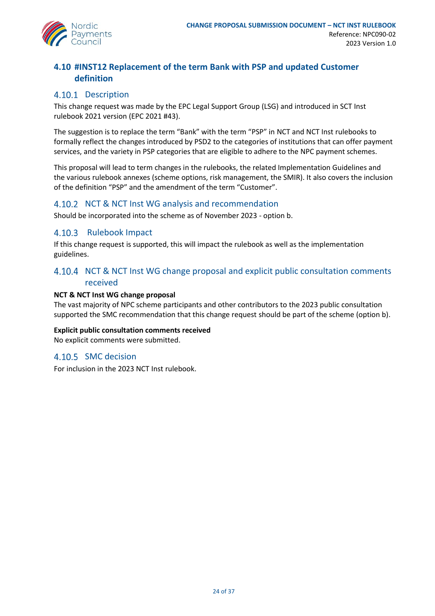

## <span id="page-23-0"></span>**4.10 #INST12 Replacement of the term Bank with PSP and updated Customer definition**

## 4.10.1 Description

This change request was made by the EPC Legal Support Group (LSG) and introduced in SCT Inst rulebook 2021 version (EPC 2021 #43).

The suggestion is to replace the term "Bank" with the term "PSP" in NCT and NCT Inst rulebooks to formally reflect the changes introduced by PSD2 to the categories of institutions that can offer payment services, and the variety in PSP categories that are eligible to adhere to the NPC payment schemes.

This proposal will lead to term changes in the rulebooks, the related Implementation Guidelines and the various rulebook annexes (scheme options, risk management, the SMIR). It also covers the inclusion of the definition "PSP" and the amendment of the term "Customer".

### 4.10.2 NCT & NCT Inst WG analysis and recommendation

Should be incorporated into the scheme as of November 2023 - option b.

### 4.10.3 Rulebook Impact

If this change request is supported, this will impact the rulebook as well as the implementation guidelines.

## 4.10.4 NCT & NCT Inst WG change proposal and explicit public consultation comments received

### **NCT & NCT Inst WG change proposal**

The vast majority of NPC scheme participants and other contributors to the 2023 public consultation supported the SMC recommendation that this change request should be part of the scheme (option b).

**Explicit public consultation comments received**

No explicit comments were submitted.

### 4.10.5 SMC decision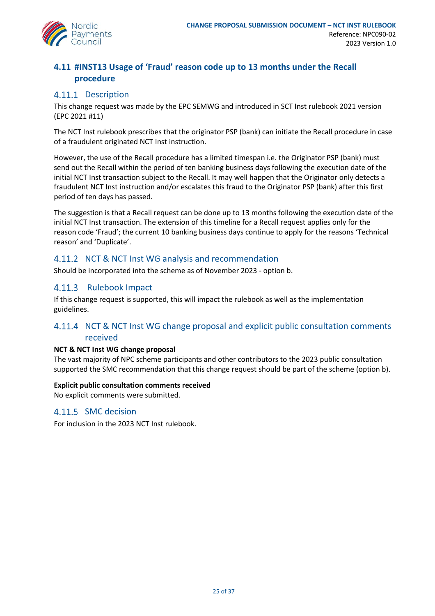

## <span id="page-24-0"></span>**4.11 #INST13 Usage of 'Fraud' reason code up to 13 months under the Recall procedure**

## 4.11.1 Description

This change request was made by the EPC SEMWG and introduced in SCT Inst rulebook 2021 version (EPC 2021 #11)

The NCT Inst rulebook prescribes that the originator PSP (bank) can initiate the Recall procedure in case of a fraudulent originated NCT Inst instruction.

However, the use of the Recall procedure has a limited timespan i.e. the Originator PSP (bank) must send out the Recall within the period of ten banking business days following the execution date of the initial NCT Inst transaction subject to the Recall. It may well happen that the Originator only detects a fraudulent NCT Inst instruction and/or escalates this fraud to the Originator PSP (bank) after this first period of ten days has passed.

The suggestion is that a Recall request can be done up to 13 months following the execution date of the initial NCT Inst transaction. The extension of this timeline for a Recall request applies only for the reason code 'Fraud'; the current 10 banking business days continue to apply for the reasons 'Technical reason' and 'Duplicate'.

## 4.11.2 NCT & NCT Inst WG analysis and recommendation

Should be incorporated into the scheme as of November 2023 - option b.

## 4.11.3 Rulebook Impact

If this change request is supported, this will impact the rulebook as well as the implementation guidelines.

## 4.11.4 NCT & NCT Inst WG change proposal and explicit public consultation comments received

### **NCT & NCT Inst WG change proposal**

The vast majority of NPC scheme participants and other contributors to the 2023 public consultation supported the SMC recommendation that this change request should be part of the scheme (option b).

### **Explicit public consultation comments received**

No explicit comments were submitted.

### 4.11.5 SMC decision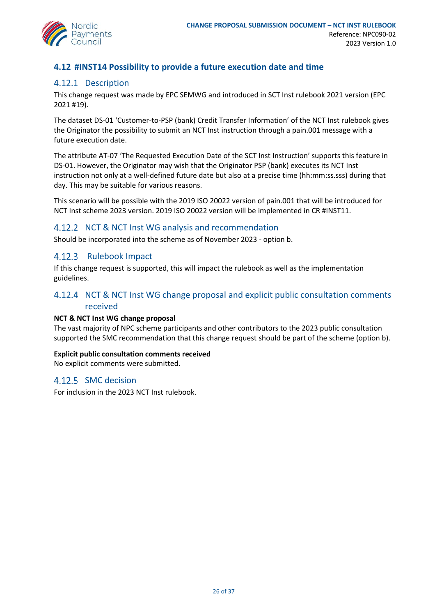

## <span id="page-25-0"></span>**4.12 #INST14 Possibility to provide a future execution date and time**

## 4.12.1 Description

This change request was made by EPC SEMWG and introduced in SCT Inst rulebook 2021 version (EPC 2021 #19).

The dataset DS-01 'Customer-to-PSP (bank) Credit Transfer Information' of the NCT Inst rulebook gives the Originator the possibility to submit an NCT Inst instruction through a pain.001 message with a future execution date.

The attribute AT-07 'The Requested Execution Date of the SCT Inst Instruction' supports this feature in DS-01. However, the Originator may wish that the Originator PSP (bank) executes its NCT Inst instruction not only at a well-defined future date but also at a precise time (hh:mm:ss.sss) during that day. This may be suitable for various reasons.

This scenario will be possible with the 2019 ISO 20022 version of pain.001 that will be introduced for NCT Inst scheme 2023 version. 2019 ISO 20022 version will be implemented in CR #INST11.

### 4.12.2 NCT & NCT Inst WG analysis and recommendation

Should be incorporated into the scheme as of November 2023 - option b.

### 4.12.3 Rulebook Impact

If this change request is supported, this will impact the rulebook as well as the implementation guidelines.

## 4.12.4 NCT & NCT Inst WG change proposal and explicit public consultation comments received

### **NCT & NCT Inst WG change proposal**

The vast majority of NPC scheme participants and other contributors to the 2023 public consultation supported the SMC recommendation that this change request should be part of the scheme (option b).

### **Explicit public consultation comments received**

No explicit comments were submitted.

## 4.12.5 SMC decision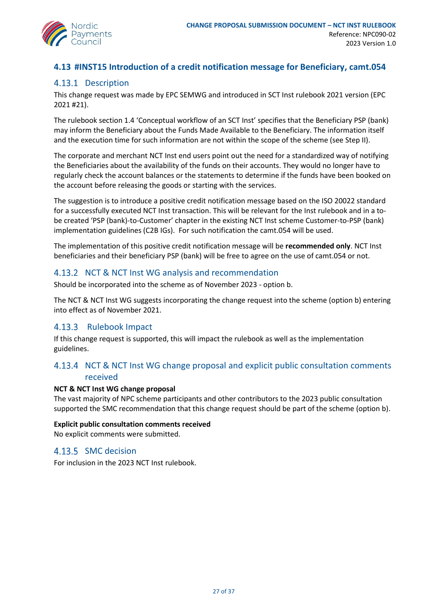

## <span id="page-26-0"></span>**4.13 #INST15 Introduction of a credit notification message for Beneficiary, camt.054**

## 4.13.1 Description

This change request was made by EPC SEMWG and introduced in SCT Inst rulebook 2021 version (EPC 2021 #21).

The rulebook section 1.4 'Conceptual workflow of an SCT Inst' specifies that the Beneficiary PSP (bank) may inform the Beneficiary about the Funds Made Available to the Beneficiary. The information itself and the execution time for such information are not within the scope of the scheme (see Step II).

The corporate and merchant NCT Inst end users point out the need for a standardized way of notifying the Beneficiaries about the availability of the funds on their accounts. They would no longer have to regularly check the account balances or the statements to determine if the funds have been booked on the account before releasing the goods or starting with the services.

The suggestion is to introduce a positive credit notification message based on the ISO 20022 standard for a successfully executed NCT Inst transaction. This will be relevant for the Inst rulebook and in a tobe created 'PSP (bank)-to-Customer' chapter in the existing NCT Inst scheme Customer-to-PSP (bank) implementation guidelines (C2B IGs). For such notification the camt.054 will be used.

The implementation of this positive credit notification message will be **recommended only**. NCT Inst beneficiaries and their beneficiary PSP (bank) will be free to agree on the use of camt.054 or not.

### 4.13.2 NCT & NCT Inst WG analysis and recommendation

Should be incorporated into the scheme as of November 2023 - option b.

The NCT & NCT Inst WG suggests incorporating the change request into the scheme (option b) entering into effect as of November 2021.

### 4.13.3 Rulebook Impact

If this change request is supported, this will impact the rulebook as well as the implementation guidelines.

## 4.13.4 NCT & NCT Inst WG change proposal and explicit public consultation comments received

### **NCT & NCT Inst WG change proposal**

The vast majority of NPC scheme participants and other contributors to the 2023 public consultation supported the SMC recommendation that this change request should be part of the scheme (option b).

### **Explicit public consultation comments received**

No explicit comments were submitted.

## 4.13.5 SMC decision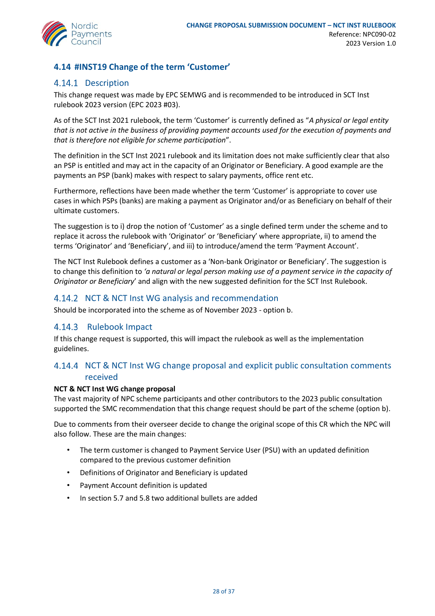

## <span id="page-27-0"></span>**4.14 #INST19 Change of the term 'Customer'**

## 4.14.1 Description

This change request was made by EPC SEMWG and is recommended to be introduced in SCT Inst rulebook 2023 version (EPC 2023 #03).

As of the SCT Inst 2021 rulebook, the term 'Customer' is currently defined as "*A physical or legal entity that is not active in the business of providing payment accounts used for the execution of payments and that is therefore not eligible for scheme participation*".

The definition in the SCT Inst 2021 rulebook and its limitation does not make sufficiently clear that also an PSP is entitled and may act in the capacity of an Originator or Beneficiary. A good example are the payments an PSP (bank) makes with respect to salary payments, office rent etc.

Furthermore, reflections have been made whether the term 'Customer' is appropriate to cover use cases in which PSPs (banks) are making a payment as Originator and/or as Beneficiary on behalf of their ultimate customers.

The suggestion is to i) drop the notion of 'Customer' as a single defined term under the scheme and to replace it across the rulebook with 'Originator' or 'Beneficiary' where appropriate, ii) to amend the terms 'Originator' and 'Beneficiary', and iii) to introduce/amend the term 'Payment Account'.

The NCT Inst Rulebook defines a customer as a 'Non-bank Originator or Beneficiary'. The suggestion is to change this definition to *'a natural or legal person making use of a payment service in the capacity of Originator or Beneficiary*' and align with the new suggested definition for the SCT Inst Rulebook.

## 4.14.2 NCT & NCT Inst WG analysis and recommendation

Should be incorporated into the scheme as of November 2023 - option b.

## 4.14.3 Rulebook Impact

If this change request is supported, this will impact the rulebook as well as the implementation guidelines.

## 4.14.4 NCT & NCT Inst WG change proposal and explicit public consultation comments received

### **NCT & NCT Inst WG change proposal**

The vast majority of NPC scheme participants and other contributors to the 2023 public consultation supported the SMC recommendation that this change request should be part of the scheme (option b).

Due to comments from their overseer decide to change the original scope of this CR which the NPC will also follow. These are the main changes:

- The term customer is changed to Payment Service User (PSU) with an updated definition compared to the previous customer definition
- Definitions of Originator and Beneficiary is updated
- Payment Account definition is updated
- In section 5.7 and 5.8 two additional bullets are added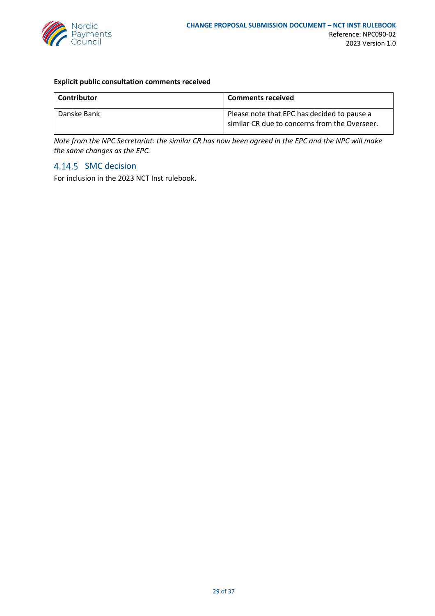

### **Explicit public consultation comments received**

| Contributor | <b>Comments received</b>                                                                     |
|-------------|----------------------------------------------------------------------------------------------|
| Danske Bank | Please note that EPC has decided to pause a<br>similar CR due to concerns from the Overseer. |

*Note from the NPC Secretariat: the similar CR has now been agreed in the EPC and the NPC will make the same changes as the EPC.* 

### 4.14.5 SMC decision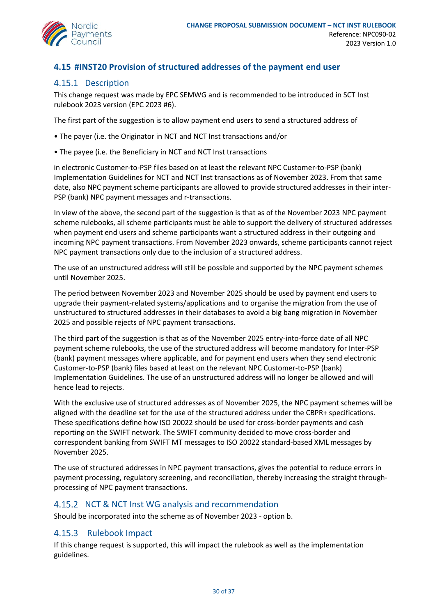

## <span id="page-29-0"></span>**4.15 #INST20 Provision of structured addresses of the payment end user**

## 4.15.1 Description

This change request was made by EPC SEMWG and is recommended to be introduced in SCT Inst rulebook 2023 version (EPC 2023 #6).

The first part of the suggestion is to allow payment end users to send a structured address of

- The payer (i.e. the Originator in NCT and NCT Inst transactions and/or
- The payee (i.e. the Beneficiary in NCT and NCT Inst transactions

in electronic Customer-to-PSP files based on at least the relevant NPC Customer-to-PSP (bank) Implementation Guidelines for NCT and NCT Inst transactions as of November 2023. From that same date, also NPC payment scheme participants are allowed to provide structured addresses in their inter-PSP (bank) NPC payment messages and r-transactions.

In view of the above, the second part of the suggestion is that as of the November 2023 NPC payment scheme rulebooks, all scheme participants must be able to support the delivery of structured addresses when payment end users and scheme participants want a structured address in their outgoing and incoming NPC payment transactions. From November 2023 onwards, scheme participants cannot reject NPC payment transactions only due to the inclusion of a structured address.

The use of an unstructured address will still be possible and supported by the NPC payment schemes until November 2025.

The period between November 2023 and November 2025 should be used by payment end users to upgrade their payment-related systems/applications and to organise the migration from the use of unstructured to structured addresses in their databases to avoid a big bang migration in November 2025 and possible rejects of NPC payment transactions.

The third part of the suggestion is that as of the November 2025 entry-into-force date of all NPC payment scheme rulebooks, the use of the structured address will become mandatory for Inter-PSP (bank) payment messages where applicable, and for payment end users when they send electronic Customer-to-PSP (bank) files based at least on the relevant NPC Customer-to-PSP (bank) Implementation Guidelines. The use of an unstructured address will no longer be allowed and will hence lead to rejects.

With the exclusive use of structured addresses as of November 2025, the NPC payment schemes will be aligned with the deadline set for the use of the structured address under the CBPR+ specifications. These specifications define how ISO 20022 should be used for cross-border payments and cash reporting on the SWIFT network. The SWIFT community decided to move cross-border and correspondent banking from SWIFT MT messages to ISO 20022 standard-based XML messages by November 2025.

The use of structured addresses in NPC payment transactions, gives the potential to reduce errors in payment processing, regulatory screening, and reconciliation, thereby increasing the straight throughprocessing of NPC payment transactions.

### 4.15.2 NCT & NCT Inst WG analysis and recommendation

Should be incorporated into the scheme as of November 2023 - option b.

### 4.15.3 Rulebook Impact

If this change request is supported, this will impact the rulebook as well as the implementation guidelines.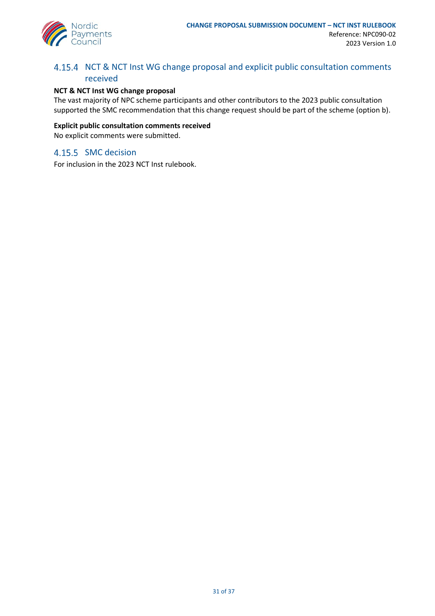

## 4.15.4 NCT & NCT Inst WG change proposal and explicit public consultation comments received

### **NCT & NCT Inst WG change proposal**

The vast majority of NPC scheme participants and other contributors to the 2023 public consultation supported the SMC recommendation that this change request should be part of the scheme (option b).

### **Explicit public consultation comments received**

No explicit comments were submitted.

### 4.15.5 SMC decision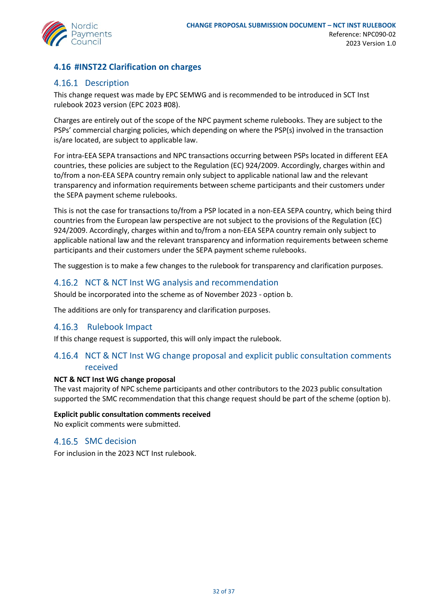

## <span id="page-31-0"></span>**4.16 #INST22 Clarification on charges**

## 4.16.1 Description

This change request was made by EPC SEMWG and is recommended to be introduced in SCT Inst rulebook 2023 version (EPC 2023 #08).

Charges are entirely out of the scope of the NPC payment scheme rulebooks. They are subject to the PSPs' commercial charging policies, which depending on where the PSP(s) involved in the transaction is/are located, are subject to applicable law.

For intra-EEA SEPA transactions and NPC transactions occurring between PSPs located in different EEA countries, these policies are subject to the Regulation (EC) 924/2009. Accordingly, charges within and to/from a non-EEA SEPA country remain only subject to applicable national law and the relevant transparency and information requirements between scheme participants and their customers under the SEPA payment scheme rulebooks.

This is not the case for transactions to/from a PSP located in a non-EEA SEPA country, which being third countries from the European law perspective are not subject to the provisions of the Regulation (EC) 924/2009. Accordingly, charges within and to/from a non-EEA SEPA country remain only subject to applicable national law and the relevant transparency and information requirements between scheme participants and their customers under the SEPA payment scheme rulebooks.

The suggestion is to make a few changes to the rulebook for transparency and clarification purposes.

## 4.16.2 NCT & NCT Inst WG analysis and recommendation

Should be incorporated into the scheme as of November 2023 - option b.

The additions are only for transparency and clarification purposes.

### 4.16.3 Rulebook Impact

If this change request is supported, this will only impact the rulebook.

## 4.16.4 NCT & NCT Inst WG change proposal and explicit public consultation comments received

### **NCT & NCT Inst WG change proposal**

The vast majority of NPC scheme participants and other contributors to the 2023 public consultation supported the SMC recommendation that this change request should be part of the scheme (option b).

### **Explicit public consultation comments received**

No explicit comments were submitted.

### 4.16.5 SMC decision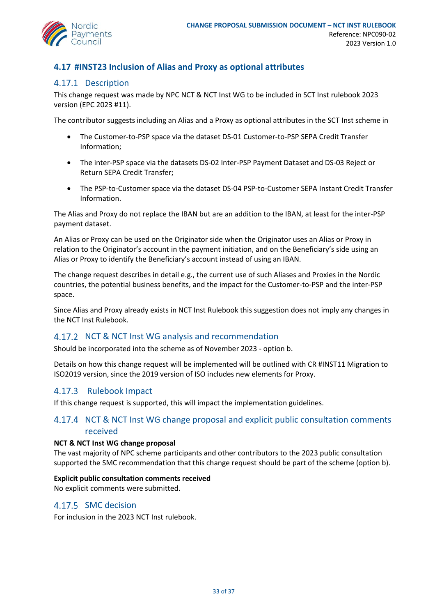

## <span id="page-32-0"></span>**4.17 #INST23 Inclusion of Alias and Proxy as optional attributes**

## 4.17.1 Description

This change request was made by NPC NCT & NCT Inst WG to be included in SCT Inst rulebook 2023 version (EPC 2023 #11).

The contributor suggests including an Alias and a Proxy as optional attributes in the SCT Inst scheme in

- The Customer-to-PSP space via the dataset DS-01 Customer-to-PSP SEPA Credit Transfer Information;
- The inter-PSP space via the datasets DS-02 Inter-PSP Payment Dataset and DS-03 Reject or Return SEPA Credit Transfer;
- The PSP-to-Customer space via the dataset DS-04 PSP-to-Customer SEPA Instant Credit Transfer Information.

The Alias and Proxy do not replace the IBAN but are an addition to the IBAN, at least for the inter-PSP payment dataset.

An Alias or Proxy can be used on the Originator side when the Originator uses an Alias or Proxy in relation to the Originator's account in the payment initiation, and on the Beneficiary's side using an Alias or Proxy to identify the Beneficiary's account instead of using an IBAN.

The change request describes in detail e.g., the current use of such Aliases and Proxies in the Nordic countries, the potential business benefits, and the impact for the Customer-to-PSP and the inter-PSP space.

Since Alias and Proxy already exists in NCT Inst Rulebook this suggestion does not imply any changes in the NCT Inst Rulebook.

### 4.17.2 NCT & NCT Inst WG analysis and recommendation

Should be incorporated into the scheme as of November 2023 - option b.

Details on how this change request will be implemented will be outlined with CR #INST11 Migration to ISO2019 version, since the 2019 version of ISO includes new elements for Proxy.

### 4.17.3 Rulebook Impact

If this change request is supported, this will impact the implementation guidelines.

## 4.17.4 NCT & NCT Inst WG change proposal and explicit public consultation comments received

### **NCT & NCT Inst WG change proposal**

The vast majority of NPC scheme participants and other contributors to the 2023 public consultation supported the SMC recommendation that this change request should be part of the scheme (option b).

#### **Explicit public consultation comments received**

No explicit comments were submitted.

### 4.17.5 SMC decision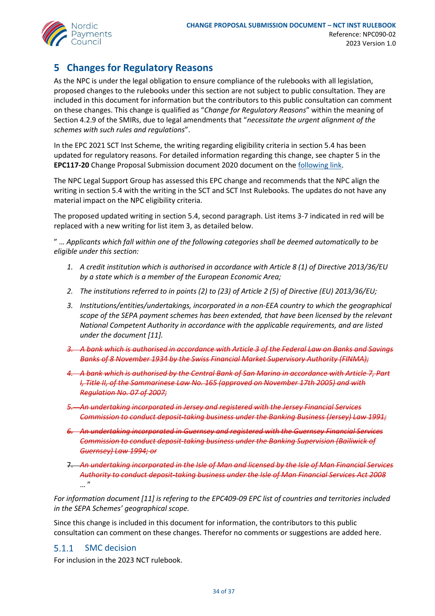

## <span id="page-33-0"></span>**5 Changes for Regulatory Reasons**

As the NPC is under the legal obligation to ensure compliance of the rulebooks with all legislation, proposed changes to the rulebooks under this section are not subject to public consultation. They are included in this document for information but the contributors to this public consultation can comment on these changes. This change is qualified as "*Change for Regulatory Reasons*" within the meaning of Section 4.2.9 of the SMIRs, due to legal amendments that "*necessitate the urgent alignment of the schemes with such rules and regulations*".

In the EPC 2021 SCT Inst Scheme, the writing regarding eligibility criteria in section 5.4 has been updated for regulatory reasons. For detailed information regarding this change, see chapter 5 in the **EPC117-20** Change Proposal Submission document 2020 document on th[e following link.](https://www.europeanpaymentscouncil.eu/sites/default/files/kb/file/2020-11/EPC117-20%20v1.0%20Change%20Proposal%20Submission%20Document%20after%202020%20public%20consultation%20on%20SCT%20Inst%20change%20requests.pdf)

The NPC Legal Support Group has assessed this EPC change and recommends that the NPC align the writing in section 5.4 with the writing in the SCT and SCT Inst Rulebooks. The updates do not have any material impact on the NPC eligibility criteria.

The proposed updated writing in section 5.4, second paragraph. List items 3-7 indicated in red will be replaced with a new writing for list item 3, as detailed below.

" … *Applicants which fall within one of the following categories shall be deemed automatically to be eligible under this section:*

- *1. A credit institution which is authorised in accordance with Article 8 (1) of Directive 2013/36/EU by a state which is a member of the European Economic Area;*
- *2. The institutions referred to in points (2) to (23) of Article 2 (5) of Directive (EU) 2013/36/EU;*
- *3. Institutions/entities/undertakings, incorporated in a non-EEA country to which the geographical scope of the SEPA payment schemes has been extended, that have been licensed by the relevant National Competent Authority in accordance with the applicable requirements, and are listed under the document [11].*
- *3. A bank which is authorised in accordance with Article 3 of the Federal Law on Banks and Savings Banks of 8 November 1934 by the Swiss Financial Market Supervisory Authority (FINMA);*
- *4. A bank which is authorised by the Central Bank of San Marino in accordance with Article 7, Part I, Title II, of the Sammarinese Law No. 165 (approved on November 17th 2005) and with Regulation No. 07 of 2007;*
- *5. An undertaking incorporated in Jersey and registered with the Jersey Financial Services Commission to conduct deposit-taking business under the Banking Business (Jersey) Law 1991;*
- *6. An undertaking incorporated in Guernsey and registered with the Guernsey Financial Services Commission to conduct deposit-taking business under the Banking Supervision (Bailiwick of Guernsey) Law 1994; or*
- 7. *An undertaking incorporated in the Isle of Man and licensed by the Isle of Man Financial Services Authority to conduct deposit-taking business under the Isle of Man Financial Services Act 2008*  $\cdots$

*For information document [11] is refering to the EPC409-09 EPC list of countries and territories included in the SEPA Schemes' geographical scope.* 

Since this change is included in this document for information, the contributors to this public consultation can comment on these changes. Therefor no comments or suggestions are added here.

#### $5.1.1$ SMC decision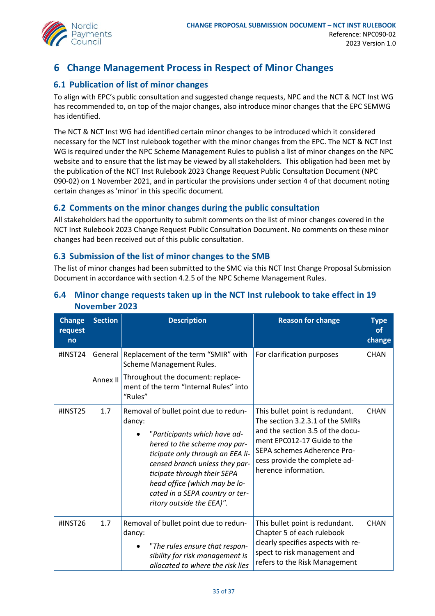

## <span id="page-34-0"></span>**6 Change Management Process in Respect of Minor Changes**

## <span id="page-34-1"></span>**6.1 Publication of list of minor changes**

To align with EPC's public consultation and suggested change requests, NPC and the NCT & NCT Inst WG has recommended to, on top of the major changes, also introduce minor changes that the EPC SEMWG has identified.

The NCT & NCT Inst WG had identified certain minor changes to be introduced which it considered necessary for the NCT Inst rulebook together with the minor changes from the EPC. The NCT & NCT Inst WG is required under the NPC Scheme Management Rules to publish a list of minor changes on the NPC website and to ensure that the list may be viewed by all stakeholders. This obligation had been met by the publication of the NCT Inst Rulebook 2023 Change Request Public Consultation Document (NPC 090-02) on 1 November 2021, and in particular the provisions under section 4 of that document noting certain changes as 'minor' in this specific document.

## <span id="page-34-2"></span>**6.2 Comments on the minor changes during the public consultation**

All stakeholders had the opportunity to submit comments on the list of minor changes covered in the NCT Inst Rulebook 2023 Change Request Public Consultation Document. No comments on these minor changes had been received out of this public consultation.

### <span id="page-34-3"></span>**6.3 Submission of the list of minor changes to the SMB**

The list of minor changes had been submitted to the SMC via this NCT Inst Change Proposal Submission Document in accordance with section 4.2.5 of the NPC Scheme Management Rules.

| <b>Change</b><br>request<br>no | <b>Section</b>      | <b>Description</b>                                                                                                                                                                                                                                                                                                    | <b>Reason for change</b>                                                                                                                                                                                                       | <b>Type</b><br><b>of</b><br>change |
|--------------------------------|---------------------|-----------------------------------------------------------------------------------------------------------------------------------------------------------------------------------------------------------------------------------------------------------------------------------------------------------------------|--------------------------------------------------------------------------------------------------------------------------------------------------------------------------------------------------------------------------------|------------------------------------|
| #INST24                        | General<br>Annex II | Replacement of the term "SMIR" with<br>Scheme Management Rules.<br>Throughout the document: replace-<br>ment of the term "Internal Rules" into<br>"Rules"                                                                                                                                                             | For clarification purposes                                                                                                                                                                                                     | <b>CHAN</b>                        |
| #INST25                        | 1.7                 | Removal of bullet point due to redun-<br>dancy:<br>"Participants which have ad-<br>hered to the scheme may par-<br>ticipate only through an EEA li-<br>censed branch unless they par-<br>ticipate through their SEPA<br>head office (which may be lo-<br>cated in a SEPA country or ter-<br>ritory outside the EEA)". | This bullet point is redundant.<br>The section 3.2.3.1 of the SMIRs<br>and the section 3.5 of the docu-<br>ment EPC012-17 Guide to the<br>SEPA schemes Adherence Pro-<br>cess provide the complete ad-<br>herence information. | <b>CHAN</b>                        |
| #INST26                        | 1.7                 | Removal of bullet point due to redun-<br>dancy:<br>"The rules ensure that respon-<br>sibility for risk management is<br>allocated to where the risk lies                                                                                                                                                              | This bullet point is redundant.<br>Chapter 5 of each rulebook<br>clearly specifies aspects with re-<br>spect to risk management and<br>refers to the Risk Management                                                           | <b>CHAN</b>                        |

## <span id="page-34-4"></span>**6.4 Minor change requests taken up in the NCT Inst rulebook to take effect in 19 November 2023**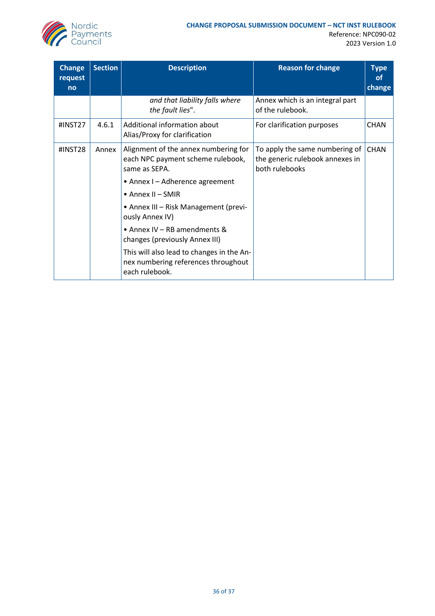

Reference: NPC090-02 2023 Version 1.0

| <b>Change</b><br>request<br>no | <b>Section</b> | <b>Description</b>                                                                                 | <b>Reason for change</b>                                                            | <b>Type</b><br><b>of</b><br>change |
|--------------------------------|----------------|----------------------------------------------------------------------------------------------------|-------------------------------------------------------------------------------------|------------------------------------|
|                                |                | and that liability falls where<br>the fault lies".                                                 | Annex which is an integral part<br>of the rulebook.                                 |                                    |
| #INST27                        | 4.6.1          | Additional information about<br>Alias/Proxy for clarification                                      | For clarification purposes                                                          | <b>CHAN</b>                        |
| #INST28                        | Annex          | Alignment of the annex numbering for<br>each NPC payment scheme rulebook,<br>same as SEPA.         | To apply the same numbering of<br>the generic rulebook annexes in<br>both rulebooks | <b>CHAN</b>                        |
|                                |                | • Annex I - Adherence agreement                                                                    |                                                                                     |                                    |
|                                |                | $\bullet$ Annex II - SMIR                                                                          |                                                                                     |                                    |
|                                |                | • Annex III - Risk Management (previ-<br>ously Annex IV)                                           |                                                                                     |                                    |
|                                |                | • Annex IV - RB amendments &<br>changes (previously Annex III)                                     |                                                                                     |                                    |
|                                |                | This will also lead to changes in the An-<br>nex numbering references throughout<br>each rulebook. |                                                                                     |                                    |